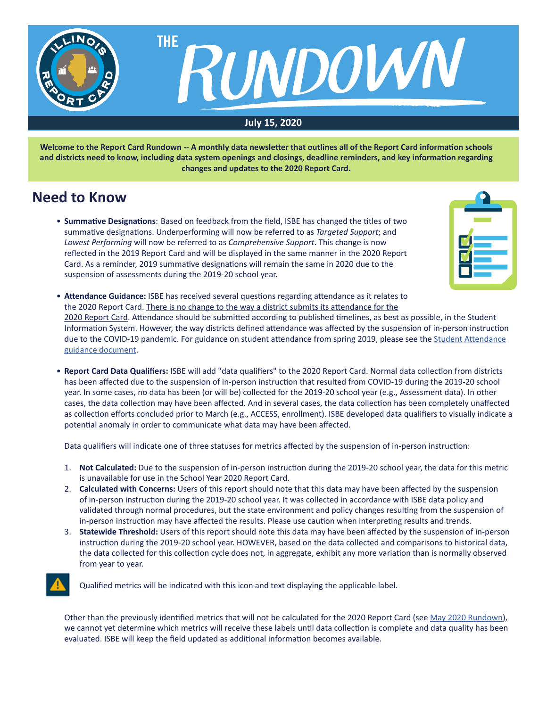

**Welcome to the Report Card Rundown -- A monthly data newsletter that outlines all of the Report Card information schools and districts need to know, including data system openings and closings, deadline reminders, and key information regarding changes and updates to the 2020 Report Card.**

# **Need to Know**

**• Summative Designations**: Based on feedback from the field, ISBE has changed the titles of two summative designations. Underperforming will now be referred to as *Targeted Support*; and *Lowest Performing* will now be referred to as *Comprehensive Support*. This change is now reflected in the 2019 Report Card and will be displayed in the same manner in the 2020 Report Card. As a reminder, 2019 summative designations will remain the same in 2020 due to the suspension of assessments during the 2019-20 school year.



- **Attendance Guidance:** ISBE has received several questions regarding attendance as it relates to the 2020 Report Card. There is no change to the way a district submits its attendance for the 2020 Report Card. Attendance should be submitted according to published timelines, as best as possible, in the Student Information System. However, the way districts defined attendance was affected by the suspension of in-person instruction due to the COVID-19 pandemic. For guidance on student attendance from spring 2019, please see the Student [Attendance](https://www.isbe.net/Documents/Student-Attendance-Guidance-5-4-20.pdf) guidance [document.](https://www.isbe.net/Documents/Student-Attendance-Guidance-5-4-20.pdf)
- **Report Card Data Qualifiers:** ISBE will add "data qualifiers" to the 2020 Report Card. Normal data collection from districts has been affected due to the suspension of in-person instruction that resulted from COVID-19 during the 2019-20 school year. In some cases, no data has been (or will be) collected for the 2019-20 school year (e.g., Assessment data). In other cases, the data collection may have been affected. And in several cases, the data collection has been completely unaffected as collection efforts concluded prior to March (e.g., ACCESS, enrollment). ISBE developed data qualifiers to visually indicate a potential anomaly in order to communicate what data may have been affected.

 Data qualifiers will indicate one of three statuses for metrics affected by the suspension of in-person instruction:

- 1. Not Calculated: Due to the suspension of in-person instruction during the 2019-20 school year, the data for this metric is unavailable for use in the School Year 2020 Report Card.
- 2. **Calculated with Concerns:** Users of this report should note that this data may have been affected by the suspension of in-person instruction during the 2019-20 school year. It was collected in accordance with ISBE data policy and validated through normal procedures, but the state environment and policy changes resulting from the suspension of in-person instruction may have affected the results. Please use caution when interpreting results and trends.
- 3. **Statewide Threshold:** Users of this report should note this data may have been affected by the suspension of in-person instruction during the 2019-20 school year. HOWEVER, based on the data collected and comparisons to historical data, the data collected for this collection cycle does not, in aggregate, exhibit any more variation than is normally observed from year to year.



Qualified metrics will be indicated with this icon and text displaying the applicable label.

Other than the previously identified metrics that will not be calculated for the 2020 Report Card (see May 2020 [Rundown\)](https://www.isbe.net/Documents/Rundown-Newsletter-15-May-2020.pdf), we cannot yet determine which metrics will receive these labels until data collection is complete and data quality has been evaluated. ISBE will keep the field updated as additional information becomes available.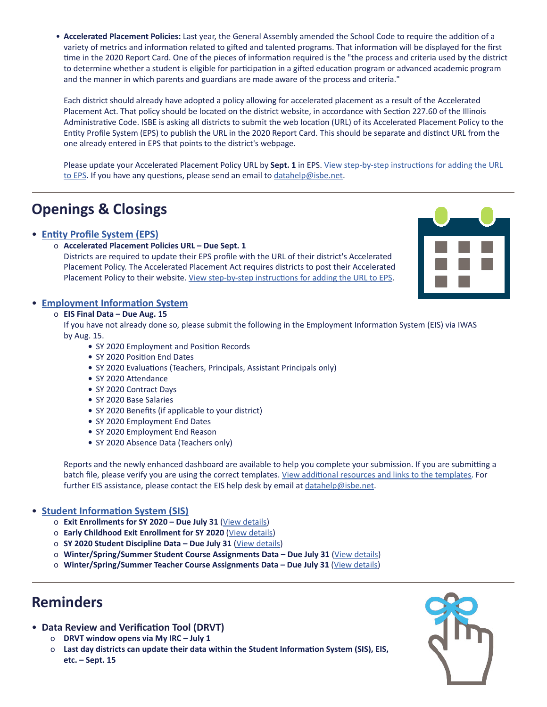• **Accelerated Placement Policies:** Last year, the General Assembly amended the School Code to require the addition of a variety of metrics and information related to gifted and talented programs. That information will be displayed for the first time in the 2020 Report Card. One of the pieces of information required is the "the process and criteria used by the district to determine whether a student is eligible for participation in a gifted education program or advanced academic program and the manner in which parents and guardians are made aware of the process and criteria."

Each district should already have adopted a policy allowing for accelerated placement as a result of the Accelerated Placement Act. That policy should be located on the district website, in accordance with Section 227.60 of the Illinois Administrative Code. ISBE is asking all districts to submit the web location (URL) of its Accelerated Placement Policy to the Entity Profile System (EPS) to publish the URL in the 2020 Report Card. This should be separate and distinct URL from the one already entered in EPS that points to the district's webpage.

Please update your Accelerated Placement Policy URL by **Sept. 1** in EPS. [View step-by-step instructions for adding the URL](https://www.isbe.net/Documents/Accelerated-Placement-Policy-URL-instructions.pdf) [to EPS](https://www.isbe.net/Documents/Accelerated-Placement-Policy-URL-instructions.pdf). If you have any questions, please send an email to [datahelp@isbe.net.](mailto:datahelp%40isbe.net?subject=)

# **Openings & Closings**

### • **[Entity Profile System \(EPS\)](https://www.isbe.net/Documents/Accelerated-Placement-Policy-URL-instructions.pdf)**

o **Accelerated Placement Policies URL – Due Sept. 1**

 Districts are required to update their EPS profile with the URL of their district's Accelerated Placement Policy. The Accelerated Placement Act requires districts to post their Accelerated Placement Policy to their website. [View step-by-step instructions for adding the URL to EPS](https://www.isbe.net/Documents/Accelerated-Placement-Policy-URL-instructions.pdf).



### • **[Employment Information System](https://www.isbe.net/Pages/Employment-Information-System.aspx)**

#### o **EIS Final Data – Due Aug. 15**

 If you have not already done so, please submit the following in the Employment Information System (EIS) via IWAS by Aug. 15.

- SY 2020 Employment and Position Records
- SY 2020 Position End Dates
- SY 2020 Evaluations (Teachers, Principals, Assistant Principals only)
- SY 2020 Attendance
- SY 2020 Contract Days
- SY 2020 Base Salaries
- SY 2020 Benefits (if applicable to your district)
- SY 2020 Employment End Dates
- SY 2020 Employment End Reason
- SY 2020 Absence Data (Teachers only)

 Reports and the newly enhanced dashboard are available to help you complete your submission. If you are submitting a batch file, please verify you are using the correct templates. [View additional resources and links to the templates.](https://www.isbe.net/Documents/EIS-Final-Due-Data-Due.pdf) For further EIS assistance, please contact the EIS help desk by email at [datahelp@isbe.net.](mailto:datahelp%40isbe.net?subject=)

## • **[Student Information System \(SIS\)](https://www.isbe.net/Pages/Student-Information-System.aspx)**

- o **Exit Enrollments for SY 2020 Due July 31** ([View details\)](https://www.isbe.net/Documents/Exiting-2020-Student-Enrollments.pdf)
- o **Early Childhood Exit Enrollment for SY 2020** [\(View details](https://www.isbe.net/Documents/Early-Childhood-Exit-Enrollments.pdf))
- o **SY 2020 Student Discipline Data Due July 31** ([View details\)](https://www.isbe.net/Documents/Student-Discipline-Blast.pdf)
- o **Winter/Spring/Summer Student Course Assignments Data Due July 31** [\(View details](https://www.isbe.net/Documents/Student-Course-Assignments-Due.pdf))
- o **Winter/Spring/Summer Teacher Course Assignments Data Due July 31** ([View details\)](https://www.isbe.net/Documents/Teacher-Course-Assignments.pdf)

# **Reminders**

- **Data Review and Verification Tool (DRVT)**
	- o **DRVT window opens via My IRC July 1**
	- o **Last day districts can update their data within the Student Information System (SIS), EIS, etc. – Sept. 15**